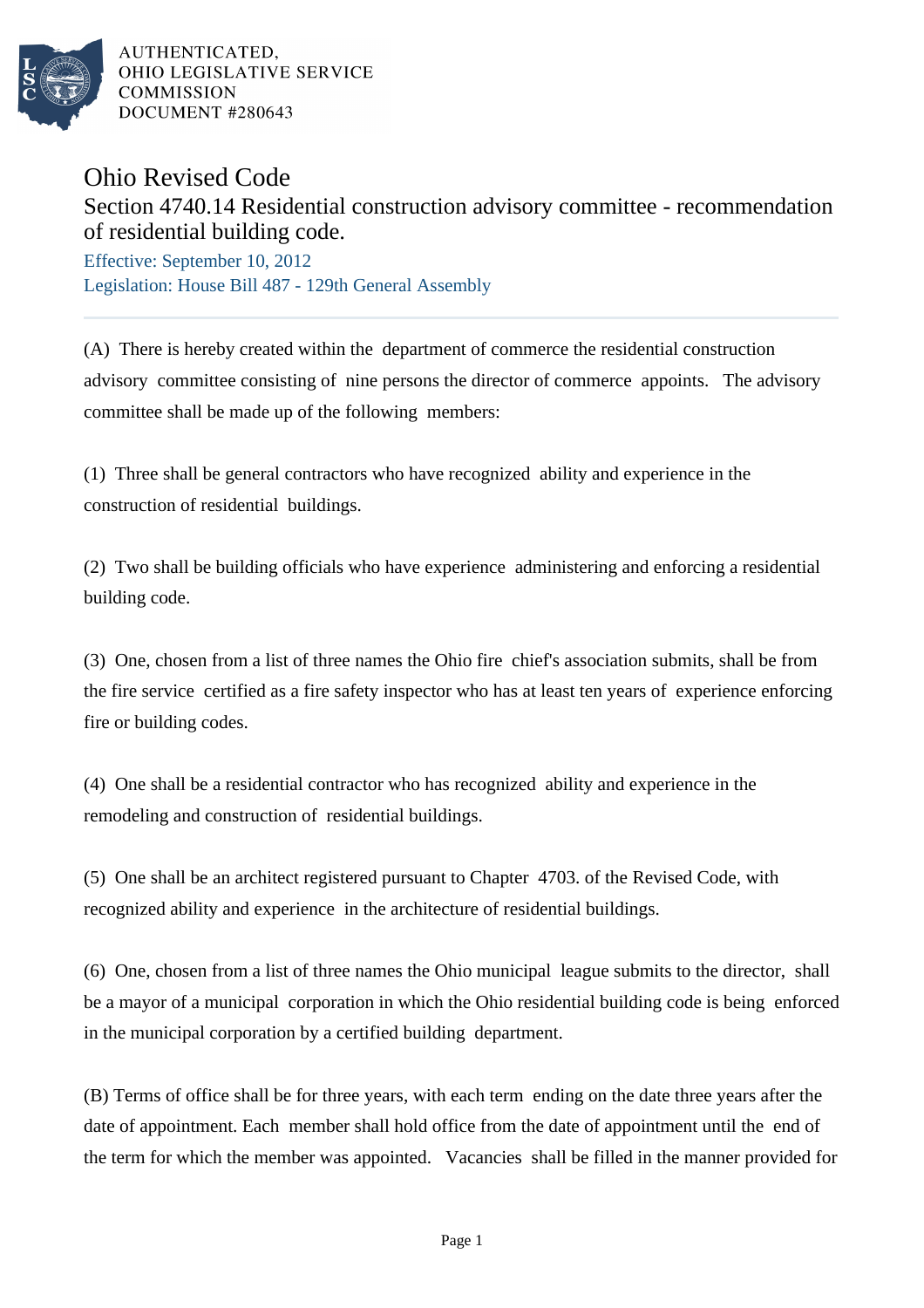

AUTHENTICATED. OHIO LEGISLATIVE SERVICE **COMMISSION** DOCUMENT #280643

## Ohio Revised Code

## Section 4740.14 Residential construction advisory committee - recommendation of residential building code.

Effective: September 10, 2012 Legislation: House Bill 487 - 129th General Assembly

(A) There is hereby created within the department of commerce the residential construction advisory committee consisting of nine persons the director of commerce appoints. The advisory committee shall be made up of the following members:

(1) Three shall be general contractors who have recognized ability and experience in the construction of residential buildings.

(2) Two shall be building officials who have experience administering and enforcing a residential building code.

(3) One, chosen from a list of three names the Ohio fire chief's association submits, shall be from the fire service certified as a fire safety inspector who has at least ten years of experience enforcing fire or building codes.

(4) One shall be a residential contractor who has recognized ability and experience in the remodeling and construction of residential buildings.

(5) One shall be an architect registered pursuant to Chapter 4703. of the Revised Code, with recognized ability and experience in the architecture of residential buildings.

(6) One, chosen from a list of three names the Ohio municipal league submits to the director, shall be a mayor of a municipal corporation in which the Ohio residential building code is being enforced in the municipal corporation by a certified building department.

(B) Terms of office shall be for three years, with each term ending on the date three years after the date of appointment. Each member shall hold office from the date of appointment until the end of the term for which the member was appointed. Vacancies shall be filled in the manner provided for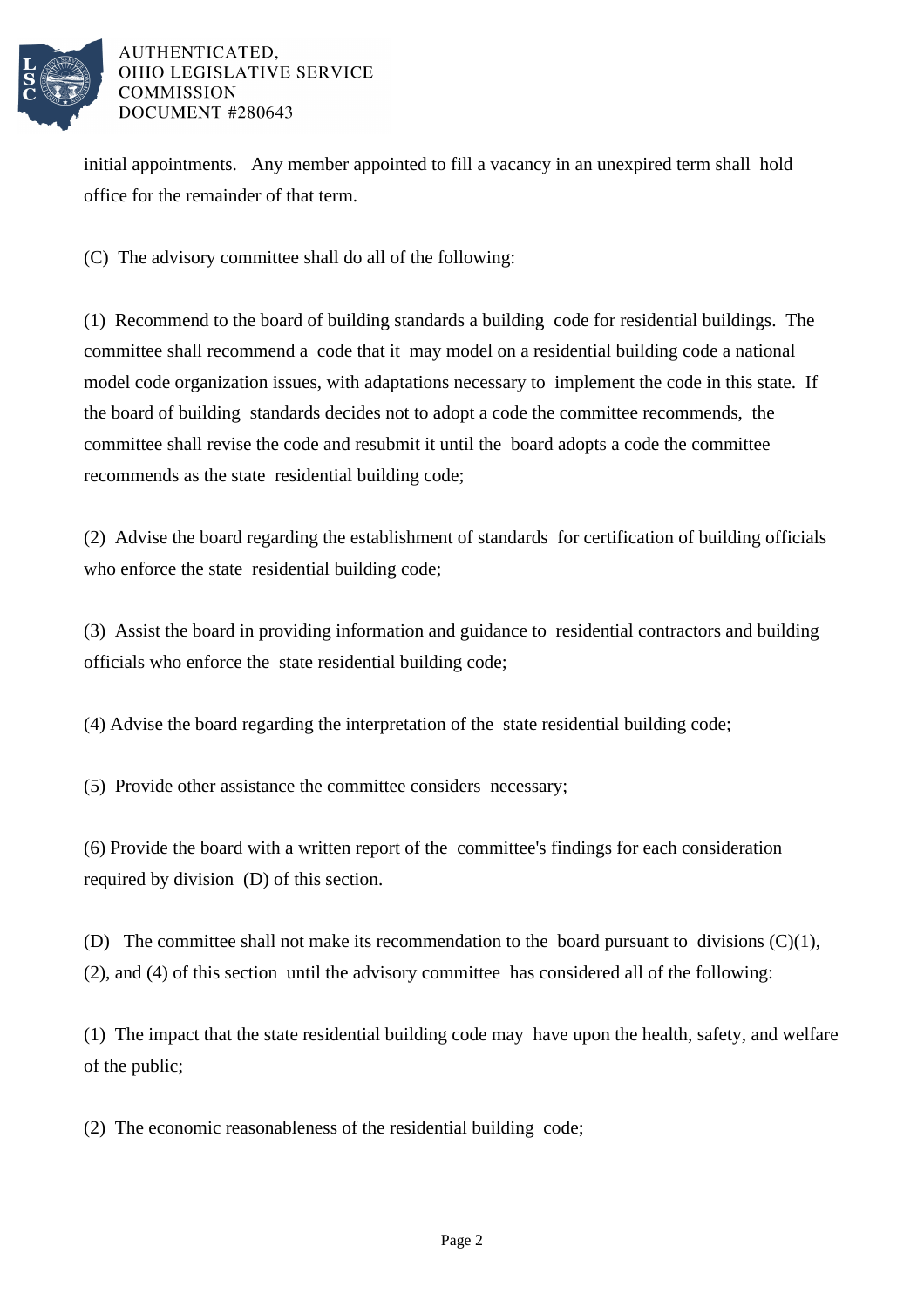

## AUTHENTICATED. OHIO LEGISLATIVE SERVICE **COMMISSION** DOCUMENT #280643

initial appointments. Any member appointed to fill a vacancy in an unexpired term shall hold office for the remainder of that term.

(C) The advisory committee shall do all of the following:

(1) Recommend to the board of building standards a building code for residential buildings. The committee shall recommend a code that it may model on a residential building code a national model code organization issues, with adaptations necessary to implement the code in this state. If the board of building standards decides not to adopt a code the committee recommends, the committee shall revise the code and resubmit it until the board adopts a code the committee recommends as the state residential building code;

(2) Advise the board regarding the establishment of standards for certification of building officials who enforce the state residential building code;

(3) Assist the board in providing information and guidance to residential contractors and building officials who enforce the state residential building code;

(4) Advise the board regarding the interpretation of the state residential building code;

(5) Provide other assistance the committee considers necessary;

(6) Provide the board with a written report of the committee's findings for each consideration required by division (D) of this section.

(D) The committee shall not make its recommendation to the board pursuant to divisions  $(C)(1)$ , (2), and (4) of this section until the advisory committee has considered all of the following:

(1) The impact that the state residential building code may have upon the health, safety, and welfare of the public;

(2) The economic reasonableness of the residential building code;